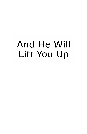# And He Will Lift You Up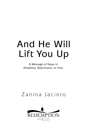# And He Will Lift You Up

A Message of Hope in Disability, Depression, or Fear

### Zanina Jacinto

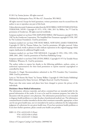© 2011 by Zanina Jacinto. All rights reserved.

Published by Redemption Press, PO Box 427, Enumclaw, WA 98022.

All rights reserved. Except for brief quotations, written permission must be secured from the author to use or reproduce any part of this book.

Unless otherwise noted, Scriptures are taken from the HOLY BIBLE, NEW INTERNATIONAL VERSION®, NIV®. Copyright © 1973, 1978, 1984, 2011 by Biblica, Inc.™ Used by permission of Zondervan. All rights reserved worldwide.

Scriptures marked amp are from THE AMPLIFIED BIBLE. Old Testament copyright © 1965, 1987 by the Zondervan Corporation. The Amplified New Testament copyright © 1958, 1987 by The Lockman Foundation. Used by permission.

Scriptures marked nkjv are from THE HOLY BIBLE, NEW KING JAMES VERSION*®*. Copyright © 1982 by Thomas Nelson, Inc. Used by permission. All rights reserved. Unless otherwise noted, words or phrases in *italics* indicate expressions in the original language which require clarification by additional English words.

Scriptures marked MSG are from THE MESSAGE. Copyright © 1993, 1994, 1995, 1996, 2000, 2001, 2002. Used by permission of NavPress Publishing Group.

Scriptures marked TLB are from THE LIVING BIBLE. Copyright © 1971 by Tyndale House Publishers, Wheaton, IL. Used by permission.

The author wishes to express her thanks to the following publishers, authors, artists, or authorized representatives for their kind permission to reprint material copyrighted or controlled by them:

Donnalee A. Dugal. Recommendation submitted to the PTA Founders Day Committee, 2000. Used by permission.

Lyrics to "He Knows My Name" by Tommy Walker. Copyright © 1996 Doulos Publishing/ BMI (Administered by Music Services). All Rights Reserved. Used by Permission.

Please note that some names and places have been changed to protect the privacy of the individuals.

#### **Disclaimer About Medical Information:**

The information, reference materials, and advice contained here are intended solely for the general information of the reader. It is not to be used for treatment purposes, but rather for discussion with the patient's own physician. The information presented here is not intended to diagnose health problems or to take the place of professional medical care. The information contained herein is neither intended to dictate what constitutes reasonable, appropriate, or best care for any given health issue, nor is it intended to be used as a substitute for the independent judgment of a physician for any given health issue. If you have persistent health problems or if you have further questions, please consult your health care provider.

ISBN 13: 978-1-63232-835-9 (Print) 978-1-63232-836-6 (ePub) 978-1-63232-837-3 (Mobi)

Library of Congress Catalog Card Number: 2009906738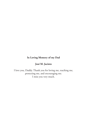#### **In Loving Memory of my Dad**

### **José M. Jacinto**

I love you, Daddy. Thank you for loving me, teaching me, protecting me, and encouraging me. I miss you very much.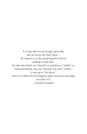It is only when we get hungry spiritually that we receive the Holy Spirit.... He imparts to us the quickening life of Jesus, making us truly alive. He takes that which was "beyond" us and places it "within" us. And immediately, once the "beyond" has come "within," it rises up to "the above," and we are lifted into the kingdom where Jesus lives and reigns (see John 3:5). —Oswald Chambers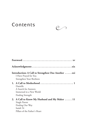## Contents  $\circledcirc$



|  | Introduction: A Call to Strengthen One Another xxi<br>I Have Prayed for You<br>Strengthen Your Brethren                         |  |
|--|---------------------------------------------------------------------------------------------------------------------------------|--|
|  | Danielle<br>A Search for Answers<br>Immersed in a New World<br>Finding Strength                                                 |  |
|  | 2. A Call to Know My Husband and My Maker  11<br>Single Parent<br>Finding Our Way<br>Isaiah 54<br>Pillars of the Father's Heart |  |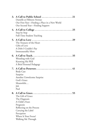| 3. | A Call to Public School<br>.21<br>Danielle at Fillmore Avenue<br>Our First Year-Finding a Place in a New World<br>Our Second Year-Finding Support                                                                     |
|----|-----------------------------------------------------------------------------------------------------------------------------------------------------------------------------------------------------------------------|
| 4. | Step by Step<br>Full-Time Student Teaching                                                                                                                                                                            |
| 5. | The Treasury of the Heart<br>Gifts of Love<br>A Debt I Couldn't Pay<br>Immeasurably More                                                                                                                              |
| 6. | A Call to Teach<br>$\ldots$ 35<br>Wrestling with God<br>Knowing His Will<br>A Brief Personal Pedagogy                                                                                                                 |
| 7. | A Call to Persevere<br>.41<br><b>Body Cast</b><br>Surprise<br>Another Unwelcome Surprise<br>God's Grace<br>Meanwhile<br>Job<br>Paul                                                                                   |
| 8. | A Call to Grace<br>$\ldots$ . 55<br>The Gift of Grace<br>The Diagnosis<br>A Child's Fears<br>Prognosis<br>Reflecting on the Process<br>Carrying the Label<br>Perception<br>Where Is Your Focus?<br>Walking Me Through |
|    |                                                                                                                                                                                                                       |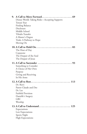| 9. | A Call to Move Forward<br>$\ldots 69$<br>Disney World: Taking Risks-Accepting Supports                                                                   |
|----|----------------------------------------------------------------------------------------------------------------------------------------------------------|
|    | Tenure Year<br><b>Finding Balance</b><br>Disclosure<br>Middle School<br>Tibialis Transfer<br>A Master's Degree<br>Trials: A Pathway to Hope<br>Moving On |
|    | 10. A Call to Hold On<br>. 83<br>The Heat of Day<br>Copaxone<br>The Despair of the Soul<br>The Despair of Jesus                                          |
|    | 11. A Call to Surrender<br>. 93<br>Something to Consider<br>A Choice of Her Own<br>Purpose<br>Giving and Receiving<br>In His Arms                        |
|    | 113<br>Dr. Rizvi<br>Pastor Claude and Dee<br>Dr. Lee<br>Faithful Provision<br>Danielle's Surgery<br><b>GRC</b><br>Worship                                |
|    | 13. A Call to Understand<br>125<br>Expectations<br>Low Expectations<br>Sports Night<br><b>High Expectations</b>                                          |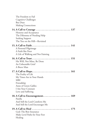| The Freedom to Fail<br>Cognitive Challenges<br><b>Bus Duty</b><br><b>Making Connections</b>                                                                                                              |
|----------------------------------------------------------------------------------------------------------------------------------------------------------------------------------------------------------|
| 14. A Call to Courage $\ldots \ldots \ldots \ldots \ldots \ldots \ldots \ldots \ldots 137$<br>Honesty and Acceptance<br>The Dilemma of Needing Help<br>Seeking Support<br>The Tree on the Hill-Revisited |
| A Personal Pilgrimage<br>A Faith like Peter<br>A Life of Walking and Not Fainting                                                                                                                        |
| His Will, Not Mine, Be Done<br>An Unbearable Grief<br>A Brave Man                                                                                                                                        |
| 17. A Call to Hope 161<br>The Frailty of Life<br>My Times Are in Your Hands<br><b>MRI</b><br>Friendship<br>Anne of Green Gables<br>I Am Your Constant<br>Love and Suffering                              |
| Patella<br>And Still the Lord Comforts Me<br>And Still the Lord Encourages Me                                                                                                                            |
| God: The Best Insurance<br>Make Level Paths for Your Feet<br>Healing                                                                                                                                     |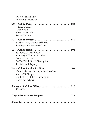| Listening to His Voice<br>An Example to Follow                                                                                                                                         |
|----------------------------------------------------------------------------------------------------------------------------------------------------------------------------------------|
| A Time to Purge<br>Clean Sweep<br>Hope that Prevails<br>Search My Heart                                                                                                                |
| So That It May Go Well with You<br>Standing in the Presence of God                                                                                                                     |
| The Greatness of His Love<br>The Song of Moses and Miriam<br>Ben the Tour Guide<br>Do You Think God Is Healing You?<br>The Man with Leprosy                                            |
| $23. A$ Call to Dwell with Him $\ldots \ldots$<br>. 207<br>If You Make the Most High Your Dwelling<br>You are His Temple<br>Let the Little Children Come to Me<br>Rise to the Heights! |
| Thank You                                                                                                                                                                              |
| Appendix: Resource Support  217                                                                                                                                                        |
|                                                                                                                                                                                        |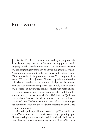### Foreword

I REMEMBER BEING a new mom and trying to physically<br>juggle a grocery cart, my infant son, and my purse, quietly REMEMBER BEING a new mom and trying to physically praying, "Lord, I need another arm!" My rheumatoid arthritis was disintegrating my shoulders and I was in a great deal of pain. A man approached me to offer assistance and I jokingly said, "New moms should be given an extra arm!" He responded by saying, "Yes, and I have just one." I looked up at him and saw his shirt-sleeve pinned up at the shoulder. I had prayed for an extra arm and God answered my prayer—specifically. I knew then I was not alone in my journey of illness mixed with motherhood.

Zanina has experienced her own journey that both humbled and encouraged me as I read *And He Will Lift You Up.* I may worry about finances, health insurance, or even the loss of someone I love. She has experienced them all and more and yet has continued to look to the Lord with expectation of what He is going to do next.

Often the pathways of life seem confusing. Why would God watch Zanina surrender to His will, completely depending upon Him—as a single mom parenting a child with a disability—and then allow her to have a debilitating chronic illness of her own?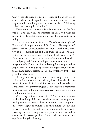Why would He guide her back to college and establish her in a career where she changed lives for the better, only to see her resign from her teaching position a few years later, MS having robbed her of strength and ability?

There are no easy answers. But Zanina shows us the One who holds the answers. She worships the Lord even when He doesn't provide explanations, even when there appears to be no logic.

John Piper writes in his book, *The Hidden Smile of God,* "Irony and disproportion are all God's ways. He keeps us off balance with His unpredictable connections. We think we know how to do something big and God makes it small. We think that all we have is weak and small and God makes it big."1 These words have come to life in Zanina's testimony. Danielle's cerebral palsy and Zanina's multiple sclerosis led to a book, the one you now hold, that inspires and strengthens people in their deepest need. Zanina didn't point out her big plans for the Lord and demand Him to bless them. She simply followed where He guided her day-by-day.

Getting notes on paper, much less writing a book, is a challenge for one who deals with cognitive difficulties that are present in neurological conditions such as multiple sclerosis. That Zanina lived this is courageous. That she got her experience down on paper is admirable because it is even more of a struggle than for a healthy person.

When I began Rest Ministries in 1997, a Christian ministry for the chronically ill, I knew that there were many people who lived quietly with chronic illness. Oftentimes their symptoms, like severe fatigue or numbness in their limbs, are invisible to healthy people. I hoped to bring these people together to encourage them and bring them alongside one another in their seasons of illness—regardless of which side of heaven they experienced physical healing.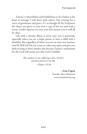Zanina's vulnerability and faithfulness to her Father is the kind of message I will share with others. Her writing has a voice of gentleness and grace. It's as though all the Scriptures she shares are given to you over a cup of hot tea and with a warm, tender squeeze on your arm that assures you it will all be okay.

Life with a chronic illness is never easy; nor is parenting, especially when you are a single parent or have a child with a disability. But regardless of where you are on your own journey, *And He Will Lift You Up* is sure to calm your spirit and give you faith to hang in there another day because Zanina's enthusiasm for the Lord will assure you that God is faithful.

> My comfort in my suffering is this: [God's] promise preserves my life. —Psalm 119:50

> > —**Lisa Copen** Founder, Rest Ministries www.restministries.org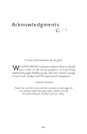### $\frac{1}{2}$ Acknowledgments

To God, and God alone, be the glory.

"WE GIVE CREDIT to human wisdom when we should give credit to the divine guidance of God being exhibited through childlike people who were 'foolish' enough to trust God's wisdom and His supernatural equipment."

—Oswald Chambers

*Thank You, Lord, for every word that is written on these pages, for every moment of life these pages reflect, and for every life this book will touch. God bless each one. Amen.*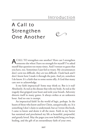### Introduction

### A Call to Strengthen One Another



ACALL TO strengthen one another? How can I strengthen someone else when I have no strength for myself? I've asked myself that question too many times. And I venture to guess that you have, too. Sometimes I just feel so weary. My circumstances don't *seem* too difficult, they *are* too difficult. I look back and I don't know how I made it through the pain. And yet, somehow I do know. It's a faith that to some seems silly. A God that many care not to acknowledge.

Is my faith impractical? Some may think so. But is it real? Absolutely. As real as the disease that robs my body. As real as the tragedy that gripped your heart and stole your breath. Adversity distorts itself in many guises. It always strikes at an unknown hour. And no one is exempt.

An impractical faith? In the world of logic, perhaps. In the hearts of those who know and love Christ, unequivocally, no. It is something I don't claim to understand, but as I wrote this book, I came to know and desire it all the more. Faith in my Savior has sustained and proclaimed my life as beautiful, purposeful, and greatly loved. May the pages you now hold bring you hope, healing, and the gift of an extraordinary faith of your own.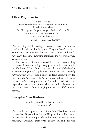### **I Have Prayed for You**

And the Lord said: "Satan has tried his best to separate all of you from me, like chaff from wheat. But I have prayed for you, that your faith should not fail; and when you have returned to [Me], strengthen your brethren." —Luke 22:31, msg; verse 32, nkjv

This morning, while making breakfast, I looked up on my windowsill and saw this Scripture. They are Jesus' words to Simon Peter. But they are also Jesus' words to you and me: "I have prayed for you." Knowing this makes me feel wonderfully safe and loved.

The first time God ever showed this to me, I was reading the book of Romans during a very painful and trying time in my life. I read, "Christ Jesus…is at the right hand of God and is also interceding for us" (8:34). *Wow!* I marveled. *Jesus is actually interceding for me!* I couldn't believe it. Jesus actually prays for *me*. Now that's intense. That's the power and love of Christ for us. That's knowing that when I'm under attack with fear, depression, doubt, temptation; when my body is broken and my spirit is weak…Jesus is praying for me…and He's praying for you.

### **Strengthen Your Brethren**

For God's gifts and his call are irrevocable. —Romans 11:29

The Lord has a purpose for each of our lives. Disability doesn't change that. Tragedy doesn't erase His plans for us. He created us with special and unique gifts and talents. We can use them for Him, or we can use them for the enemy. Jesus said, "He who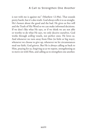is not with me is against me" (Matthew 12:30a). That sounds pretty harsh, but it's also truth. God always tells it to us straight. He's honest about the good and the bad. He gives us free will and the Truth of His Word so we can make informed decisions. If we don't like what He says, or if we think we are not able or worthy to do what He says, we only deceive ourselves. God works through *willing* vessels, not perfect ones. He loves us. And whenever we turn away from Him (in little or big ways), whenever we choose to give up, whenever we let circumstances steal our faith, God grieves. But He is always calling us back to Him, praying for us, forgiving us as we repent, strengthening us to move on with Him, and calling us to strengthen one another.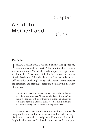$\mathbb{C}$ 

### A Call to Motherhood

### **Danielle**

THROUGH MY DAUGHTER, Danielle, God opened my eyes and changed my heart. A few months after Danielle was born, my sister, Michele, handed me a piece of paper. It was a column that Erma Bombeck had written about the mother of a disabled child. It has circulated the Internet under several different titles, one being "The Special Mother."1 Erma captures the heartbreak and blessing of parenting a child with a disability. She writes:

She will never take for granted a spoken word. She will never consider a step ordinary. When her child says 'Momma' for the first time, she will be witness to a miracle and know it. When she describes a tree or a sunset to her blind child, she will see it as few people ever see [God's] creations.<sup>2</sup>

I cried when I read Erma's column. But today I smile. My daughter blesses my life in numerous and wonderful ways. Danielle was born with cerebral palsy (CP) and a love for life. She fought hard to take her first breath, to master her first step, and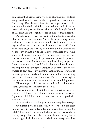to make her first friend. Erma was right. I have never considered a step as ordinary. Each one has been a greatly treasured miracle. And though Danielle and I have lived with ignorance, cruelty, and prejudice, God faithfully stands beside us and lifts us up beyond these injustices. He enriches my life through the gift of this child. And through her, I see Him more magnificently.

Danielle is now twenty-six years old and holds a bachelor of science in special education. She is a beautiful young woman with wisdom born of pain and triumph. Danielle's first trauma began before she was even born. It was April 18, 1985. I was six months pregnant. Driving home from a Bible study at the house of my friends, Brent and Ginny, I was seized by horrible abdominal pains. They weren't contractions. This pain was constant and unwavering. I began to vomit again and again until my stomach felt as if it were squeezing through my esophagus. I was staying with my friend, Patti, who wanted to take me to the hospital. But I thought it was just a bad case of the flu and wanted to stay home. By morning, Patti found me curled up in a fetal position, barely able to move and still in excruciating pain. She took me to her obstetrician. The receptionist, aghast the moment she saw me, rushed me into an examining room.

"She's dehydrated," the doctor said without hesitation. "Patti, you need to take her to the hospital."

 The Community Hospital was closest. Once there, an entourage of doctors arrived and a multitude of tests ensued. My stay was brief. I was quickly transferred to a hospital with a neonatal unit.

I was scared. I was still in pain. *What was my baby feeling?*

My husband was in Rochester, New York, on a per diem job. My parents were on Long Island. I was in New Jersey. But I didn't have much time to think about that. All I cared about was my baby. I had never been a mom before, but my latent mommy-gear kicked in fiercely. I asked about every procedure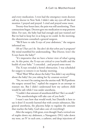and every medication. I even had the emergency room doctors call my doctor in New York. I didn't take my eyes off the fetal monitor. I prayed and prayed. I cried and prayed some more.

Twenty-four hours later, the pain was still unrelenting. Then contractions began. Doctors gave me medication to stop preterm labor. For sure, the baby had had enough and just wanted *out!* But we had to keep her *in* as long as we could. In the morning, the obstetricians consulted a general surgeon.

"We'll have to take X-rays of your abdomen," the surgeon informed me.

*Oh no! That can't be. You don't do that when you're pregnant!* My mind stumbled for understanding. "But Doctor, won't the X-rays harm the baby?"

"It's imperative that we have a better view of what's going on. At this point, the X-rays are critical to your health and the health of your baby." I conceded…and prayed some more.

The X-rays revealed a bowel obstruction. I was scheduled for surgery to remove it on Sunday morning.

"Wait! Wait! What about the baby? You didn't say anything about the baby! Are you taking her by cesarean section?"

"No, we won't be cutting into the uterine wall. We'll perform the surgery around her," replied the surgeon in an attempt to reassure me. But I didn't understand how my unborn child would be safe while I was under anesthesia.

"Couldn't that amount of anesthesia kill her? She's so small."

"The anesthesiologist will take care of you both."

I wasn't sure how that would work, but Danielle is here to say it does! (I recently learned that with certain substances, like general anesthesia, the placenta helps to regulate the amount that reaches the baby. God takes care of everything!)

After the surgery, I felt great, even though I had a vertical row of staples down my abdomen, a Nasogastric (NG) tube down my nose, an IV in each arm, a catheter, and deep injections of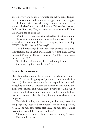steroids every few hours to promote the baby's lung development. I was healing well, labor had stopped, and I was happy.

On Tuesday afternoon, after they removed my catheter, I felt a warm trickle of fluid. I buzzed the nurse. With embarrassment, I told her, "I'm sorry. They just removed the catheter and I think I may have had an accident."

"Don't worry," she said with a chuckle. "It happens a lot."

She came to the room and drew back the sheets. Her face went white. Frantically, she hit the emergency button, yelling, "STAT! STAT! Labor and Delivery!"

I had hemorrhaged. My bed was covered in blood. Contractions began again and did not stop until Danielle was born at 4:44 a.m. on Thursday morning, April 25<sup>th</sup>—she wasn't due until July 2nd!

God had placed her in my heart and in my hands.

And every day I place us back in His.

### **A Search for Answers**

Danielle was born ten weeks premature with a birth weight of 3 pounds 5 ounces (dropping to 2 pounds 13 ounces in the first few days). She spent two months in the hospital, her little body struggling to survive. Doctors and nurses worked round-theclock while friends and family prayed without ceasing. Upon release from the hospital, her weight just under 5 pounds, I was instructed to watch Danielle closely for any unusual stiffness or limpness.

"Danielle is stable, but we cannot, at this time, determine her prognosis," reported her doctor. "She may be perfectly normal. She may have motor problems. She may have learning disabilities. We will have to wait and see."

"What would it mean if Danielle were stiff or limp?" I asked. They would not say.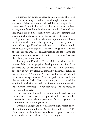I clutched my daughter close to me, grateful that God had seen her through—had seen us through—the traumatic whirlwind of those two months; thankful to be taking her home where I could care for her and hold her as my heart had been aching to do for so long. In those few months, I learned how very fragile life is. I also learned how God gives strength and wisdom in abundance to those who call upon His name.

A parent's job is probably the most important and difficult job in the world. Our trials began early as I quickly noticed how stiff and rigid Danielle's body was. It was difficult to hold her, to feed her, to change her. She never snuggled close to me or relaxed in my arms. I continually relayed my concerns to the pediatrician, who repeatedly attempted to pacify me, "Just give Danielle's growth more time."

Not only was Danielle stiff and rigid, but time revealed marked delays in her physical development. In spite of the pediatrician, I endeavored to have Danielle seen by a neurologist, only to have my efforts squashed by the firm rejection of his receptionist. "I'm sorry. You will need a referral before I can schedule an appointment." But our pediatrician would not give us a referral. I wish I had found a way to have a specialist examine Danielle immediately, but I was a young mother with little medical knowledge or political savvy—at the mercy of the "medical experts."

It was not until Danielle was seven months old that our pediatrician referred us to a neurologist. We waited an unbearable six weeks for a new-patient appointment. Several days after the examination, the neurologist called.

"Danielle is a bright and alert infant with slight motor delays. Here is the phone number for United Cerebral Palsy (UCP). They have an excellent Infant Stimulation Program. Give them a call to schedule an evaluation for your daughter."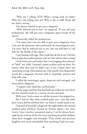"Why am I calling UCP? What's wrong with my baby? Why isn't she rolling over yet? Why is she so stiff? Please tell me what's wrong."

The doctor refused to give me a diagnosis.

"Who referred you to me?" he inquired. "If you call your pediatrician, she will give you a diagnosis upon receipt of my report."

I frantically called the pediatrician.

"I'm sorry, but I am not able to give you a diagnosis since I am not the physician who performed the neurological exam. I'm sorry that he referred you to me, but you will have to call him for the details of the report."

I was fuming with rage. *How could they do this to me? Did they have to play these political games with me? Just tell me what's wrong!*

I look back now and realize that I was begging these doctors to "label" my child. I wanted a name to place with my fears. No matter what they said (or didn't say) to me, I knew there was something wrong. Most parents do. Like myself, they desperately search for a diagnosis, because with it, hopefully, answers and help will come.

I called the neurologist again, desperate and outraged, and demanded a diagnosis.

"I suspect your child has cerebral palsy."

All the anger and fear that had built up within me over those last few months broke in a torrent of tears and pain.

Well, now I had a name to call the monster that plagued us.

But I had no idea what cerebral palsy was—was this what Jerry Lewis did his telethon for?—or what it would mean to us.

I learned of Danielle's diagnosis the night before the annual cerebral palsy telethon, hosted by Dennis James—not Jerry Lewis. I was a mother consumed; and so, I sat for almost fortyeight hours in front of the television watching beautiful children share their struggles and triumphs. Their smiles and precious laughter were more remarkable than anything I had ever seen.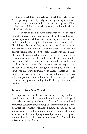There were children in wheelchairs and children in leg braces. A little girl sang beautifully and proudly, supporting herself with crutches. Other children smiled, but could not speak. CP had robbed them of their voice. My heart was breaking. I held my baby close and cried.

As parents of children with disabilities, we experience a grief that pierces the deepest recesses of our hearts. There's a pervading sense of helplessness, a sorrow beyond measure. God understands that kind of grief. He understood its heartache when His children, Adam and Eve, turned away from Him, ushering sin into the world. He felt its anguish when Adam and Eve grieved the loss of their son Abel at the hands of their son Cain. He endured its agony as He watched His Son Jesus suffer on the cross. You are not alone. God understands. He loves you, and He loves your child. Place your heart in His hands. Surrender your child to His tender care. His love penetrates the deepest pain. His love will lift you up. Through your child, God will bless you beyond measure. Your son, your daughter, holds a piece of God's heart that you will be able to see and know as few ever will. Pour your heart out to Him and He will be your strength.

Yours is a precious calling, for He has given you a very precious child.

### **Immersed in a New World**

As I adjusted emotionally to what we were facing, I allowed myself to grieve and empowered myself with knowledge. I channeled my energy into being an advocate for my daughter. I researched cerebral palsy, neurologists, orthopedics, podiatrists, pediatricians, orthotic specialists, physical therapists, various surgeries and medical techniques, support groups, federal and state disability law, school programs and policies, social programs and social workers. I left no stone unturned. (See Appendix for a Resource Support link.)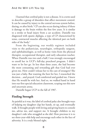#### And He Will Lift You Up

I learned that cerebral palsy is not a disease. It is a term used to describe a group of disorders that affect movement control. It can be caused by injury to the central nervous system before, during, or after birth.<sup>3</sup> CP can also occur during infancy if there is damage to the brain within the first few years. It is similar to a stroke or head injury from a car accident. Danielle was diagnosed with spastic diplegia, a type of CP characterized by tense, contracted muscles affecting the identical part on both sides of the body.<sup>4</sup>

From the beginning, our weekly regimen included visits to the pediatrician, neurologist, orthopedic surgeon, and ophthalmologist, as well as home visits from the physical therapist, occupational therapist, and early education teacher. When Danielle was two and a half, I was strongly encouraged to enroll her in UCP's full-day preschool program. I didn't want to let her go. In less than three years, she had become the most consuming and rewarding gift that God had ever given me. How could I release her to the care of strangers? She was just a baby. But wanting the best for her, I researched the decision…and prayed. God comforted and guided me. I knew that He would be with her. And so, we walked hand in hand into our first special education classroom, scoping out this new and uncertain arena.

Danielle began UCP in the fall of 1987.

### **Finding Strength**

As painful as it was, the label of cerebral palsy also brought ways of helping my daughter clap her hands, sit up, and eventually walk. It brought people with loving and giving hearts to console me, advise me, and support me. It brought children to my daughter's side who struggled as she did. How precious it is to see three-year-olds help and encourage each other in the face of adversity. It is a truly blessed sight.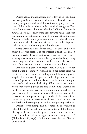During a three-month hospital stay, following an eight-hour neurosurgery (a selective dorsal rhizotomy), Danielle worked through a rigorous and painful rehabilitation program. There were children in her ward who underwent similar surgeries. They came from as near as her own school at UCP and from as far away as Puerto Rico. There was a little boy who had been shot in the head during a street drug war. There was a little girl named Mercy who had cerebral palsy, was bound to a wheelchair, and could not speak. She had no hair: Mercy, recently diagnosed with cancer, was undergoing radiation therapy.

Mercy was nine. Danielle was three. The smile and joy on Mercy's face was priceless as she wheeled Danielle around on her lap, or as they listened to stories or music together. There is a strong sense of community and family when hardships bring people together. One person's struggle becomes the battle of many. One person's triumph is another's joy and hope.

Danielle had bicycle therapy every day as part of her rehabilitation program. We would put on her braces, strap her feet to the pedals, secure the padding around the center post to keep her knees apart (the spasticity in her legs drew her knees together), place her hands on adapted handlebar posts, and pull the tricycle with an attached string. When she learned how to steer better, we would push the bike from behind. Danielle did not have the muscle strength or coordination to push on the pedals with her feet to rotate the wheels. Her muscles were unable to receive the appropriate messages from her brain to coordinate the necessary muscle movements. So we trained her muscles and her brain by strapping and pulling and pushing each day.

Danielle loved riding. She also hated it. She wanted to ride a bike "all by herself" and was frustrated with her failures. She repeated her favorite Scripture verse over and over as she rode: "I can do all things through Christ who strengthens me" (Philippians 4:13, nkjv). Her friends cheered her on, "You can do it, Danielle!"